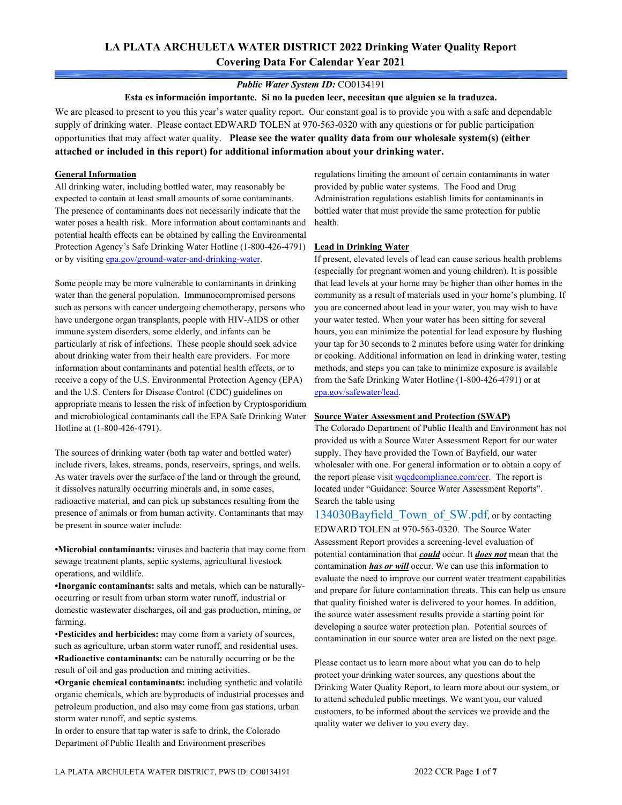# **LA PLATA ARCHULETA WATER DISTRICT 2022 Drinking Water Quality Report Covering Data For Calendar Year 2021**

#### *Public Water System ID:* CO0134191

**Esta es información importante. Si no la pueden leer, necesitan que alguien se la traduzca.**

We are pleased to present to you this year's water quality report. Our constant goal is to provide you with a safe and dependable supply of drinking water. Please contact EDWARD TOLEN at 970-563-0320 with any questions or for public participation opportunities that may affect water quality. **Please see the water quality data from our wholesale system(s) (either attached or included in this report) for additional information about your drinking water.**

#### **General Information**

All drinking water, including bottled water, may reasonably be expected to contain at least small amounts of some contaminants. The presence of contaminants does not necessarily indicate that the water poses a health risk. More information about contaminants and potential health effects can be obtained by calling the Environmental Protection Agency's Safe Drinking Water Hotline (1-800-426-4791) or by visiting [epa.gov/ground-water-and-drinking-water.](https://www.epa.gov/ground-water-and-drinking-water)

Some people may be more vulnerable to contaminants in drinking water than the general population. Immunocompromised persons such as persons with cancer undergoing chemotherapy, persons who have undergone organ transplants, people with HIV-AIDS or other immune system disorders, some elderly, and infants can be particularly at risk of infections. These people should seek advice about drinking water from their health care providers. For more information about contaminants and potential health effects, or to receive a copy of the U.S. Environmental Protection Agency (EPA) and the U.S. Centers for Disease Control (CDC) guidelines on appropriate means to lessen the risk of infection by Cryptosporidium and microbiological contaminants call the EPA Safe Drinking Water Hotline at (1-800-426-4791).

The sources of drinking water (both tap water and bottled water) include rivers, lakes, streams, ponds, reservoirs, springs, and wells. As water travels over the surface of the land or through the ground, it dissolves naturally occurring minerals and, in some cases, radioactive material, and can pick up substances resulting from the presence of animals or from human activity. Contaminants that may be present in source water include:

**•Microbial contaminants:** viruses and bacteria that may come from sewage treatment plants, septic systems, agricultural livestock operations, and wildlife.

**•Inorganic contaminants:** salts and metals, which can be naturallyoccurring or result from urban storm water runoff, industrial or domestic wastewater discharges, oil and gas production, mining, or farming.

•**Pesticides and herbicides:** may come from a variety of sources, such as agriculture, urban storm water runoff, and residential uses. **•Radioactive contaminants:** can be naturally occurring or be the result of oil and gas production and mining activities.

**•Organic chemical contaminants:** including synthetic and volatile organic chemicals, which are byproducts of industrial processes and petroleum production, and also may come from gas stations, urban storm water runoff, and septic systems.

In order to ensure that tap water is safe to drink, the Colorado Department of Public Health and Environment prescribes

regulations limiting the amount of certain contaminants in water provided by public water systems. The Food and Drug Administration regulations establish limits for contaminants in bottled water that must provide the same protection for public health.

#### **Lead in Drinking Water**

If present, elevated levels of lead can cause serious health problems (especially for pregnant women and young children). It is possible that lead levels at your home may be higher than other homes in the community as a result of materials used in your home's plumbing. If you are concerned about lead in your water, you may wish to have your water tested. When your water has been sitting for several hours, you can minimize the potential for lead exposure by flushing your tap for 30 seconds to 2 minutes before using water for drinking or cooking. Additional information on lead in drinking water, testing methods, and steps you can take to minimize exposure is available from the Safe Drinking Water Hotline (1-800-426-4791) or at [epa.gov/safewater/lead.](http://www.epa.gov/safewater/lead) 

#### **Source Water Assessment and Protection (SWAP)**

The Colorado Department of Public Health and Environment has not provided us with a Source Water Assessment Report for our water supply. They have provided the Town of Bayfield, our water wholesaler with one. For general information or to obtain a copy of the report please visit wordcompliance.com/ccr. The report is located under "Guidance: Source Water Assessment Reports". Search the table using

134030Bayfield Town of SW.pdf, or by contacting EDWARD TOLEN at 970-563-0320. The Source Water Assessment Report provides a screening-level evaluation of potential contamination that *could* occur. It *does not* mean that the contamination *has or will* occur. We can use this information to evaluate the need to improve our current water treatment capabilities and prepare for future contamination threats. This can help us ensure that quality finished water is delivered to your homes. In addition, the source water assessment results provide a starting point for developing a source water protection plan. Potential sources of contamination in our source water area are listed on the next page.

Please contact us to learn more about what you can do to help protect your drinking water sources, any questions about the Drinking Water Quality Report, to learn more about our system, or to attend scheduled public meetings. We want you, our valued customers, to be informed about the services we provide and the quality water we deliver to you every day.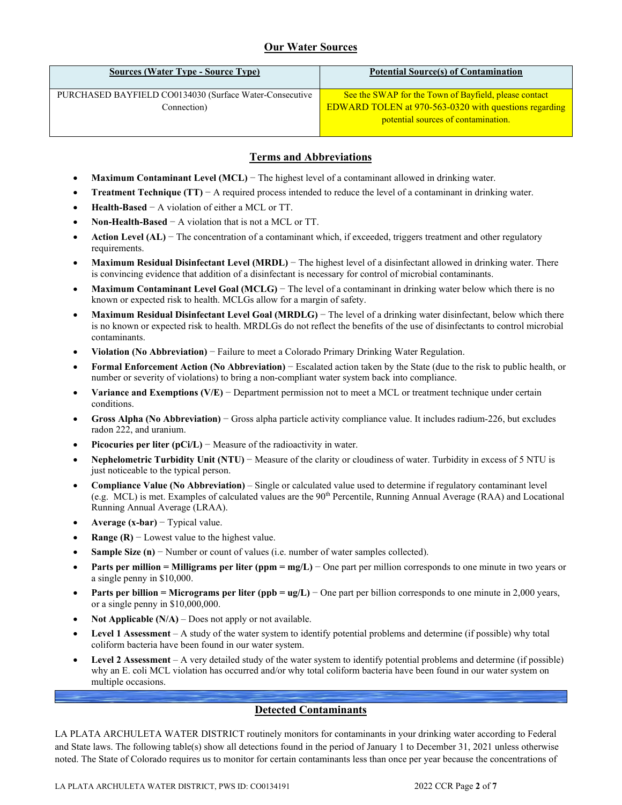# **Our Water Sources**

| <b>Sources (Water Type - Source Type)</b>                              | <b>Potential Source(s) of Contamination</b>                                                                                                           |
|------------------------------------------------------------------------|-------------------------------------------------------------------------------------------------------------------------------------------------------|
| PURCHASED BAYFIELD CO0134030 (Surface Water-Consecutive<br>Connection) | See the SWAP for the Town of Bayfield, please contact<br>EDWARD TOLEN at 970-563-0320 with questions regarding<br>potential sources of contamination. |

#### **Terms and Abbreviations**

- **Maximum Contaminant Level (MCL)** − The highest level of a contaminant allowed in drinking water.
- **Treatment Technique (TT)** − A required process intended to reduce the level of a contaminant in drinking water.
- **Health-Based** − A violation of either a MCL or TT.
- **Non-Health-Based** − A violation that is not a MCL or TT.
- **Action Level (AL)** − The concentration of a contaminant which, if exceeded, triggers treatment and other regulatory requirements.
- **Maximum Residual Disinfectant Level (MRDL)** − The highest level of a disinfectant allowed in drinking water. There is convincing evidence that addition of a disinfectant is necessary for control of microbial contaminants.
- **Maximum Contaminant Level Goal (MCLG)** − The level of a contaminant in drinking water below which there is no known or expected risk to health. MCLGs allow for a margin of safety.
- **Maximum Residual Disinfectant Level Goal (MRDLG)** − The level of a drinking water disinfectant, below which there is no known or expected risk to health. MRDLGs do not reflect the benefits of the use of disinfectants to control microbial contaminants.
- **Violation (No Abbreviation)** − Failure to meet a Colorado Primary Drinking Water Regulation.
- **Formal Enforcement Action (No Abbreviation)** − Escalated action taken by the State (due to the risk to public health, or number or severity of violations) to bring a non-compliant water system back into compliance.
- **Variance and Exemptions (V/E)** − Department permission not to meet a MCL or treatment technique under certain conditions.
- **Gross Alpha (No Abbreviation)** − Gross alpha particle activity compliance value. It includes radium-226, but excludes radon 222, and uranium.
- **Picocuries per liter (pCi/L)** − Measure of the radioactivity in water.
- **Nephelometric Turbidity Unit (NTU)** − Measure of the clarity or cloudiness of water. Turbidity in excess of 5 NTU is just noticeable to the typical person.
- **Compliance Value (No Abbreviation)** Single or calculated value used to determine if regulatory contaminant level (e.g. MCL) is met. Examples of calculated values are the 90<sup>th</sup> Percentile, Running Annual Average (RAA) and Locational Running Annual Average (LRAA).
- **Average (x-bar)** − Typical value.
- **Range (R)**  $-$  Lowest value to the highest value.
- **Sample Size (n)** − Number or count of values (i.e. number of water samples collected).
- **Parts per million = Milligrams per liter (ppm = mg/L)** − One part per million corresponds to one minute in two years or a single penny in \$10,000.
- **Parts per billion = Micrograms per liter (ppb = ug/L)** − One part per billion corresponds to one minute in 2,000 years, or a single penny in \$10,000,000.
- **Not Applicable (N/A)** Does not apply or not available.
- **Level 1 Assessment** A study of the water system to identify potential problems and determine (if possible) why total coliform bacteria have been found in our water system.
- **Level 2 Assessment** A very detailed study of the water system to identify potential problems and determine (if possible) why an E. coli MCL violation has occurred and/or why total coliform bacteria have been found in our water system on multiple occasions.

## **Detected Contaminants**

LA PLATA ARCHULETA WATER DISTRICT routinely monitors for contaminants in your drinking water according to Federal and State laws. The following table(s) show all detections found in the period of January 1 to December 31, 2021 unless otherwise noted. The State of Colorado requires us to monitor for certain contaminants less than once per year because the concentrations of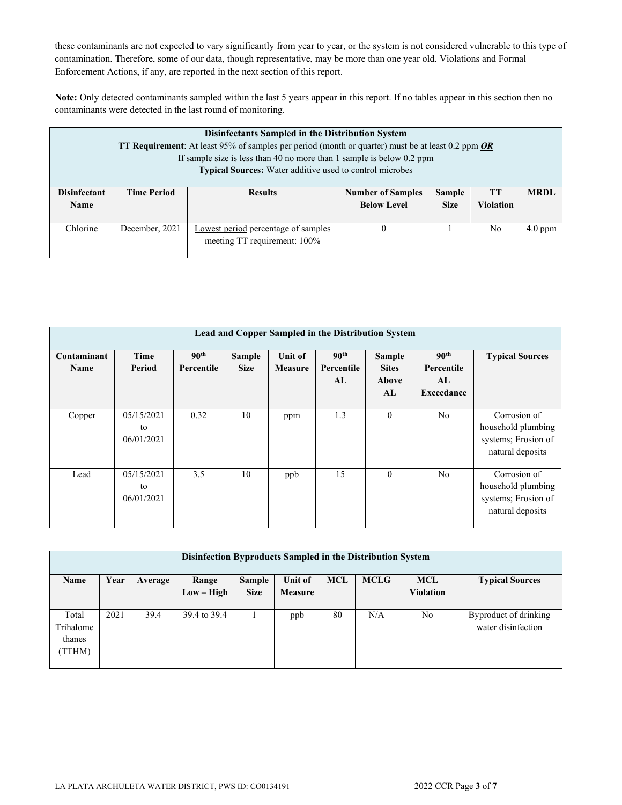these contaminants are not expected to vary significantly from year to year, or the system is not considered vulnerable to this type of contamination. Therefore, some of our data, though representative, may be more than one year old. Violations and Formal Enforcement Actions, if any, are reported in the next section of this report.

**Note:** Only detected contaminants sampled within the last 5 years appear in this report. If no tables appear in this section then no contaminants were detected in the last round of monitoring.

|                             | Disinfectants Sampled in the Distribution System<br><b>TT Requirement:</b> At least 95% of samples per period (month or quarter) must be at least 0.2 ppm OR<br>If sample size is less than 40 no more than 1 sample is below $0.2$ ppm<br><b>Typical Sources:</b> Water additive used to control microbes |                                                                     |                                                |                              |                        |             |  |  |  |  |
|-----------------------------|------------------------------------------------------------------------------------------------------------------------------------------------------------------------------------------------------------------------------------------------------------------------------------------------------------|---------------------------------------------------------------------|------------------------------------------------|------------------------------|------------------------|-------------|--|--|--|--|
| <b>Disinfectant</b><br>Name | <b>Time Period</b>                                                                                                                                                                                                                                                                                         | <b>Results</b>                                                      | <b>Number of Samples</b><br><b>Below Level</b> | <b>Sample</b><br><b>Size</b> | TТ<br><b>Violation</b> | <b>MRDL</b> |  |  |  |  |
| Chlorine                    | December, 2021                                                                                                                                                                                                                                                                                             | Lowest period percentage of samples<br>meeting TT requirement: 100% | 0                                              |                              | No.                    | $4.0$ ppm   |  |  |  |  |

|                     | Lead and Copper Sampled in the Distribution System |                                |                              |                                  |                                      |                                              |                                                    |                                                                               |  |  |  |  |
|---------------------|----------------------------------------------------|--------------------------------|------------------------------|----------------------------------|--------------------------------------|----------------------------------------------|----------------------------------------------------|-------------------------------------------------------------------------------|--|--|--|--|
| Contaminant<br>Name | Time<br>Period                                     | 90 <sup>th</sup><br>Percentile | <b>Sample</b><br><b>Size</b> | <b>Unit of</b><br><b>Measure</b> | 90 <sup>th</sup><br>Percentile<br>AL | <b>Sample</b><br><b>Sites</b><br>Above<br>AL | 90 <sup>th</sup><br>Percentile<br>AL<br>Exceedance | <b>Typical Sources</b>                                                        |  |  |  |  |
| Copper              | 05/15/2021<br>to<br>06/01/2021                     | 0.32                           | 10                           | ppm                              | 1.3                                  | $\mathbf{0}$                                 | N <sub>o</sub>                                     | Corrosion of<br>household plumbing<br>systems; Erosion of<br>natural deposits |  |  |  |  |
| Lead                | 05/15/2021<br>to<br>06/01/2021                     | 3.5                            | 10                           | ppb                              | 15                                   | $\mathbf{0}$                                 | N <sub>o</sub>                                     | Corrosion of<br>household plumbing<br>systems; Erosion of<br>natural deposits |  |  |  |  |

| Disinfection Byproducts Sampled in the Distribution System |      |         |              |             |                |            |             |                  |                        |  |  |  |
|------------------------------------------------------------|------|---------|--------------|-------------|----------------|------------|-------------|------------------|------------------------|--|--|--|
| Name                                                       | Year | Average | Range        | Sample      | Unit of        | <b>MCL</b> | <b>MCLG</b> | <b>MCL</b>       | <b>Typical Sources</b> |  |  |  |
|                                                            |      |         | $Low - High$ | <b>Size</b> | <b>Measure</b> |            |             | <b>Violation</b> |                        |  |  |  |
|                                                            |      |         |              |             |                |            |             |                  |                        |  |  |  |
| Total                                                      | 2021 | 39.4    | 39.4 to 39.4 |             | ppb            | 80         | N/A         | No               | Byproduct of drinking  |  |  |  |
| Trihalome                                                  |      |         |              |             |                |            |             |                  | water disinfection     |  |  |  |
| thanes                                                     |      |         |              |             |                |            |             |                  |                        |  |  |  |
| (TTHM)                                                     |      |         |              |             |                |            |             |                  |                        |  |  |  |
|                                                            |      |         |              |             |                |            |             |                  |                        |  |  |  |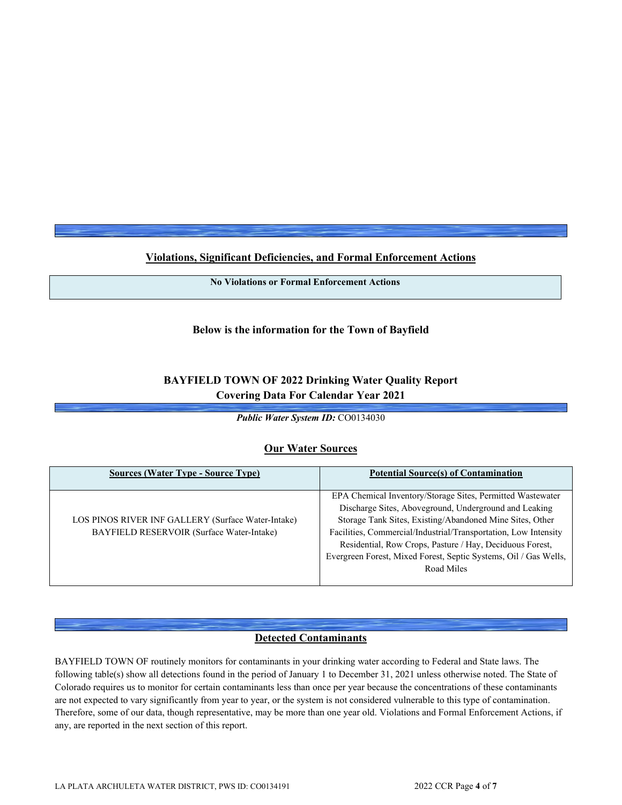**Violations, Significant Deficiencies, and Formal Enforcement Actions**

**No Violations or Formal Enforcement Actions**

## **Below is the information for the Town of Bayfield**

# **BAYFIELD TOWN OF 2022 Drinking Water Quality Report Covering Data For Calendar Year 2021**

*Public Water System ID:* CO0134030

## **Our Water Sources**

| <b>Sources (Water Type - Source Type)</b>                                                       | <b>Potential Source(s) of Contamination</b>                                                                                                                                                                                                                                                                                                                                                      |
|-------------------------------------------------------------------------------------------------|--------------------------------------------------------------------------------------------------------------------------------------------------------------------------------------------------------------------------------------------------------------------------------------------------------------------------------------------------------------------------------------------------|
| LOS PINOS RIVER INF GALLERY (Surface Water-Intake)<br>BAYFIELD RESERVOIR (Surface Water-Intake) | EPA Chemical Inventory/Storage Sites, Permitted Wastewater<br>Discharge Sites, Aboveground, Underground and Leaking<br>Storage Tank Sites, Existing/Abandoned Mine Sites, Other<br>Facilities, Commercial/Industrial/Transportation, Low Intensity<br>Residential, Row Crops, Pasture / Hay, Deciduous Forest,<br>Evergreen Forest, Mixed Forest, Septic Systems, Oil / Gas Wells,<br>Road Miles |

# **Detected Contaminants**

BAYFIELD TOWN OF routinely monitors for contaminants in your drinking water according to Federal and State laws. The following table(s) show all detections found in the period of January 1 to December 31, 2021 unless otherwise noted. The State of Colorado requires us to monitor for certain contaminants less than once per year because the concentrations of these contaminants are not expected to vary significantly from year to year, or the system is not considered vulnerable to this type of contamination. Therefore, some of our data, though representative, may be more than one year old. Violations and Formal Enforcement Actions, if any, are reported in the next section of this report.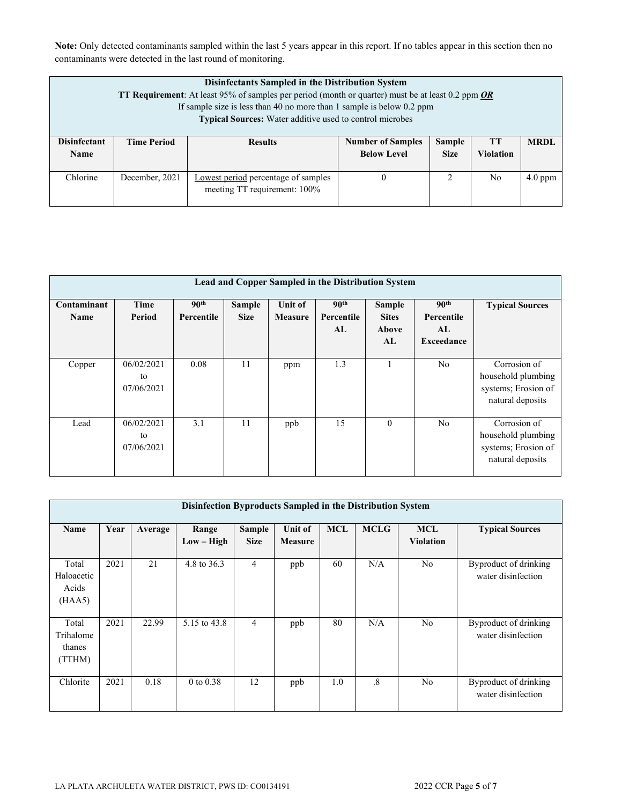**Note:** Only detected contaminants sampled within the last 5 years appear in this report. If no tables appear in this section then no contaminants were detected in the last round of monitoring.

|                                    | Disinfectants Sampled in the Distribution System<br><b>TT Requirement:</b> At least 95% of samples per period (month or quarter) must be at least 0.2 ppm <i>OR</i><br>If sample size is less than 40 no more than 1 sample is below $0.2$ ppm<br>Typical Sources: Water additive used to control microbes |                                                                     |                                                                                                                         |   |                |           |  |  |  |  |
|------------------------------------|------------------------------------------------------------------------------------------------------------------------------------------------------------------------------------------------------------------------------------------------------------------------------------------------------------|---------------------------------------------------------------------|-------------------------------------------------------------------------------------------------------------------------|---|----------------|-----------|--|--|--|--|
| <b>Disinfectant</b><br><b>Name</b> | <b>Time Period</b>                                                                                                                                                                                                                                                                                         | <b>Results</b>                                                      | Sample<br><b>MRDL</b><br><b>Number of Samples</b><br><b>TT</b><br><b>Violation</b><br><b>Below Level</b><br><b>Size</b> |   |                |           |  |  |  |  |
| Chlorine                           | December, 2021                                                                                                                                                                                                                                                                                             | Lowest period percentage of samples<br>meeting TT requirement: 100% | $\Omega$                                                                                                                | 2 | N <sub>0</sub> | $4.0$ ppm |  |  |  |  |

|                     | Lead and Copper Sampled in the Distribution System |                                |                       |                           |                                      |                                              |                                                           |                                                                               |  |  |  |  |
|---------------------|----------------------------------------------------|--------------------------------|-----------------------|---------------------------|--------------------------------------|----------------------------------------------|-----------------------------------------------------------|-------------------------------------------------------------------------------|--|--|--|--|
| Contaminant<br>Name | Time<br>Period                                     | 90 <sup>th</sup><br>Percentile | Sample<br><b>Size</b> | Unit of<br><b>Measure</b> | 90 <sup>th</sup><br>Percentile<br>AL | <b>Sample</b><br><b>Sites</b><br>Above<br>AL | 90 <sup>th</sup><br>Percentile<br>AL<br><b>Exceedance</b> | <b>Typical Sources</b>                                                        |  |  |  |  |
| Copper              | 06/02/2021<br>to<br>07/06/2021                     | 0.08                           | 11                    | ppm                       | 1.3                                  |                                              | N <sub>o</sub>                                            | Corrosion of<br>household plumbing<br>systems; Erosion of<br>natural deposits |  |  |  |  |
| Lead                | 06/02/2021<br>to<br>07/06/2021                     | 3.1                            | 11                    | ppb                       | 15                                   | $\mathbf{0}$                                 | N <sub>o</sub>                                            | Corrosion of<br>household plumbing<br>systems; Erosion of<br>natural deposits |  |  |  |  |

|                                        | Disinfection Byproducts Sampled in the Distribution System |         |                       |                              |                           |            |             |                                |                                             |  |  |  |  |
|----------------------------------------|------------------------------------------------------------|---------|-----------------------|------------------------------|---------------------------|------------|-------------|--------------------------------|---------------------------------------------|--|--|--|--|
| Name                                   | Year                                                       | Average | Range<br>$Low - High$ | <b>Sample</b><br><b>Size</b> | Unit of<br><b>Measure</b> | <b>MCL</b> | <b>MCLG</b> | <b>MCL</b><br><b>Violation</b> | <b>Typical Sources</b>                      |  |  |  |  |
| Total<br>Haloacetic<br>Acids<br>(HAA5) | 2021                                                       | 21      | 4.8 to 36.3           | $\overline{4}$               | ppb                       | 60         | N/A         | N <sub>o</sub>                 | Byproduct of drinking<br>water disinfection |  |  |  |  |
| Total<br>Trihalome<br>thanes<br>(TTHM) | 2021                                                       | 22.99   | 5.15 to 43.8          | $\overline{4}$               | ppb                       | 80         | N/A         | N <sub>o</sub>                 | Byproduct of drinking<br>water disinfection |  |  |  |  |
| Chlorite                               | 2021                                                       | 0.18    | $0$ to $0.38$         | 12                           | ppb                       | 1.0        | $\cdot$ 8   | N <sub>o</sub>                 | Byproduct of drinking<br>water disinfection |  |  |  |  |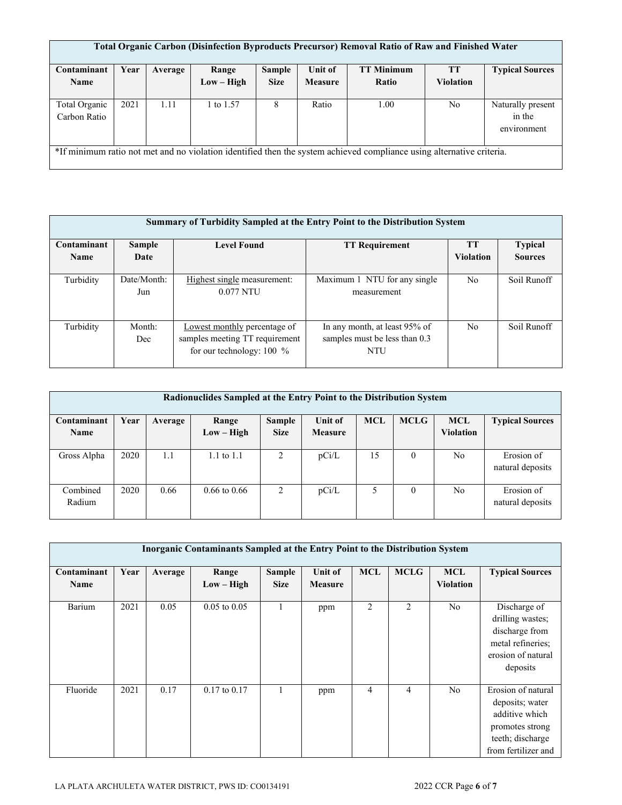|               | Total Organic Carbon (Disinfection Byproducts Precursor) Removal Ratio of Raw and Finished Water |         |              |               |                |                                                                                                                       |                  |                        |  |  |  |  |
|---------------|--------------------------------------------------------------------------------------------------|---------|--------------|---------------|----------------|-----------------------------------------------------------------------------------------------------------------------|------------------|------------------------|--|--|--|--|
|               |                                                                                                  |         |              |               |                |                                                                                                                       |                  |                        |  |  |  |  |
| Contaminant   | Year                                                                                             | Average | Range        | <b>Sample</b> | <b>Unit of</b> | <b>TT Minimum</b>                                                                                                     | <b>TT</b>        | <b>Typical Sources</b> |  |  |  |  |
| <b>Name</b>   |                                                                                                  |         | $Low - High$ | <b>Size</b>   | <b>Measure</b> | Ratio                                                                                                                 | <b>Violation</b> |                        |  |  |  |  |
|               |                                                                                                  |         |              |               |                |                                                                                                                       |                  |                        |  |  |  |  |
| Total Organic | 2021                                                                                             | 1.11    | 1 to 1.57    | 8             | Ratio          | 1.00                                                                                                                  | No               | Naturally present      |  |  |  |  |
| Carbon Ratio  |                                                                                                  |         |              |               |                |                                                                                                                       |                  | in the                 |  |  |  |  |
|               |                                                                                                  |         |              |               |                |                                                                                                                       |                  | environment            |  |  |  |  |
|               |                                                                                                  |         |              |               |                |                                                                                                                       |                  |                        |  |  |  |  |
|               |                                                                                                  |         |              |               |                | *If minimum ratio not met and no violation identified then the system achieved compliance using alternative criteria. |                  |                        |  |  |  |  |
|               |                                                                                                  |         |              |               |                |                                                                                                                       |                  |                        |  |  |  |  |

|             | Summary of Turbidity Sampled at the Entry Point to the Distribution System |                                                                                             |                                                                              |                  |                |  |  |  |  |  |  |
|-------------|----------------------------------------------------------------------------|---------------------------------------------------------------------------------------------|------------------------------------------------------------------------------|------------------|----------------|--|--|--|--|--|--|
| Contaminant | Sample                                                                     | <b>Level Found</b>                                                                          | <b>TT Requirement</b>                                                        | <b>TT</b>        | <b>Typical</b> |  |  |  |  |  |  |
| <b>Name</b> | Date                                                                       |                                                                                             |                                                                              | <b>Violation</b> | <b>Sources</b> |  |  |  |  |  |  |
| Turbidity   | Date/Month:<br>Jun                                                         | Highest single measurement:<br>0.077 NTU                                                    | Maximum 1 NTU for any single<br>measurement                                  | N <sub>o</sub>   | Soil Runoff    |  |  |  |  |  |  |
| Turbidity   | Month:<br>Dec                                                              | Lowest monthly percentage of<br>samples meeting TT requirement<br>for our technology: 100 % | In any month, at least 95% of<br>samples must be less than 0.3<br><b>NTU</b> | N <sub>o</sub>   | Soil Runoff    |  |  |  |  |  |  |

| Radionuclides Sampled at the Entry Point to the Distribution System |      |         |                         |             |                |            |             |                  |                                |  |  |
|---------------------------------------------------------------------|------|---------|-------------------------|-------------|----------------|------------|-------------|------------------|--------------------------------|--|--|
| Contaminant                                                         | Year | Average | Range                   | Sample      | Unit of        | <b>MCL</b> | <b>MCLG</b> | <b>MCL</b>       | <b>Typical Sources</b>         |  |  |
| <b>Name</b>                                                         |      |         | $Low - High$            | <b>Size</b> | <b>Measure</b> |            |             | <b>Violation</b> |                                |  |  |
| Gross Alpha                                                         | 2020 | 1.1     | 1.1 to $1.1$            | 2           | pCi/L          | 15         | $\Omega$    | No               | Erosion of<br>natural deposits |  |  |
| Combined<br>Radium                                                  | 2020 | 0.66    | $0.66 \text{ to } 0.66$ | 2           | pCi/L          | 5          | 0           | No.              | Erosion of<br>natural deposits |  |  |

| Inorganic Contaminants Sampled at the Entry Point to the Distribution System |      |         |                       |                              |                           |                |                |                                |                                                                                                                       |  |  |  |
|------------------------------------------------------------------------------|------|---------|-----------------------|------------------------------|---------------------------|----------------|----------------|--------------------------------|-----------------------------------------------------------------------------------------------------------------------|--|--|--|
| Contaminant<br><b>Name</b>                                                   | Year | Average | Range<br>$Low - High$ | <b>Sample</b><br><b>Size</b> | Unit of<br><b>Measure</b> | <b>MCL</b>     | <b>MCLG</b>    | <b>MCL</b><br><b>Violation</b> | <b>Typical Sources</b>                                                                                                |  |  |  |
| Barium                                                                       | 2021 | 0.05    | $0.05$ to $0.05$      | 1                            | ppm                       | $\overline{2}$ | $\mathfrak{D}$ | No.                            | Discharge of<br>drilling wastes;<br>discharge from<br>metal refineries;<br>erosion of natural<br>deposits             |  |  |  |
| Fluoride                                                                     | 2021 | 0.17    | $0.17$ to $0.17$      |                              | ppm                       | 4              | 4              | N <sub>o</sub>                 | Erosion of natural<br>deposits; water<br>additive which<br>promotes strong<br>teeth; discharge<br>from fertilizer and |  |  |  |